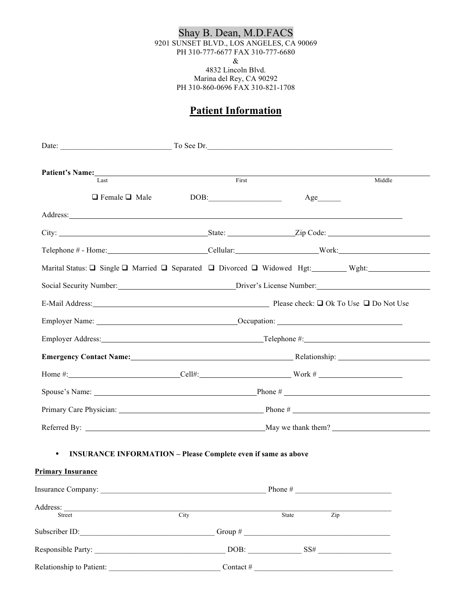### Shay B. Dean, M.D.FACS 9201 SUNSET BLVD., LOS ANGELES, CA 90069 PH 310-777-6677 FAX 310-777-6680 & 4832 Lincoln Blvd. Marina del Rey, CA 90292 PH 310-860-0696 FAX 310-821-1708

## **Patient Information**

| Patient's Name: Name: Name: Name: Name: Name: Name: Name: Name: Name: Name: Name: Name: Name: Name: Name: Name: Name: Name: Name: Name: Name: Name: Name: Name: Name: Name: Name: Name: Name: Name: Name: Name: Name: Name: Na |                                                                      |                                        |        |
|--------------------------------------------------------------------------------------------------------------------------------------------------------------------------------------------------------------------------------|----------------------------------------------------------------------|----------------------------------------|--------|
| Last                                                                                                                                                                                                                           | First                                                                |                                        | Middle |
| $\Box$ Female $\Box$ Male                                                                                                                                                                                                      |                                                                      | Age                                    |        |
|                                                                                                                                                                                                                                |                                                                      |                                        |        |
|                                                                                                                                                                                                                                |                                                                      |                                        |        |
|                                                                                                                                                                                                                                |                                                                      |                                        |        |
| Marital Status: $\Box$ Single $\Box$ Married $\Box$ Separated $\Box$ Divorced $\Box$ Widowed Hgt: Wight: Wight:                                                                                                                |                                                                      |                                        |        |
|                                                                                                                                                                                                                                |                                                                      |                                        |        |
|                                                                                                                                                                                                                                |                                                                      |                                        |        |
|                                                                                                                                                                                                                                |                                                                      |                                        |        |
| Employer Address: Telephone #: The Contract of the Contract of the Contract of the Contract of the Contract of the Contract of the Contract of the Contract of the Contract of the Contract of the Contract of the Contract of |                                                                      |                                        |        |
| Emergency Contact Name: Manual Contract Name: Relationship: Manual Contract Name: Manual Contract Name: Manual Contract Name: Relationship: Manual Contract Name: Manual Contract Name: Manual Contract Name: Manual Contract  |                                                                      |                                        |        |
| Home $\#$ : $\qquad \qquad \qquad$ Cell#: $\qquad \qquad$ Work #                                                                                                                                                               |                                                                      |                                        |        |
|                                                                                                                                                                                                                                |                                                                      |                                        |        |
|                                                                                                                                                                                                                                |                                                                      |                                        |        |
|                                                                                                                                                                                                                                |                                                                      |                                        |        |
| $\bullet$                                                                                                                                                                                                                      | <b>INSURANCE INFORMATION - Please Complete even if same as above</b> |                                        |        |
| <b>Primary Insurance</b>                                                                                                                                                                                                       |                                                                      |                                        |        |
| Insurance Company: New York 1997                                                                                                                                                                                               |                                                                      | Phone $#_$                             |        |
| Street                                                                                                                                                                                                                         | City                                                                 | State<br>Zip                           |        |
| Subscriber ID:                                                                                                                                                                                                                 |                                                                      |                                        |        |
|                                                                                                                                                                                                                                |                                                                      |                                        |        |
|                                                                                                                                                                                                                                |                                                                      | $DOB:$ $SS#$ $\overline{\phantom{AB}}$ |        |
| Relationship to Patient:                                                                                                                                                                                                       | Contact#                                                             |                                        |        |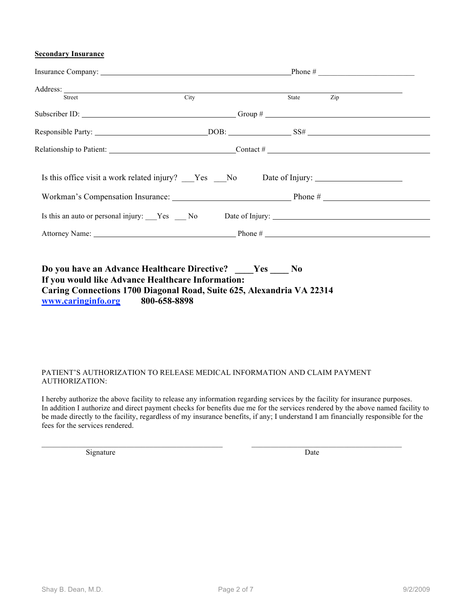### **Secondary Insurance**

| Address: Street City State Zip                                                                                                                                                                                       |  |  |
|----------------------------------------------------------------------------------------------------------------------------------------------------------------------------------------------------------------------|--|--|
| Subscriber ID: $\_\_\_\_\_\_\_\_\_$ Group # $\_\_\_\_\_\_\_\_\_$                                                                                                                                                     |  |  |
| Responsible Party: $\qquad \qquad$ DOB: $\qquad \qquad$ SS# $\qquad \qquad$ SS#                                                                                                                                      |  |  |
|                                                                                                                                                                                                                      |  |  |
| Is this office visit a work related injury? ___Yes ___No Date of Injury: __________________________                                                                                                                  |  |  |
| Workman's Compensation Insurance: Phone #                                                                                                                                                                            |  |  |
| Is this an auto or personal injury: Yes No Date of Injury: 1998                                                                                                                                                      |  |  |
|                                                                                                                                                                                                                      |  |  |
| Do you have an Advance Healthcare Directive? Yes No<br>If you would like Advance Healthcare Information:<br>Caring Connections 1700 Diagonal Road, Suite 625, Alexandria VA 22314<br>www.caringinfo.org 800-658-8898 |  |  |

### PATIENT'S AUTHORIZATION TO RELEASE MEDICAL INFORMATION AND CLAIM PAYMENT AUTHORIZATION:

I hereby authorize the above facility to release any information regarding services by the facility for insurance purposes. In addition I authorize and direct payment checks for benefits due me for the services rendered by the above named facility to be made directly to the facility, regardless of my insurance benefits, if any; I understand I am financially responsible for the fees for the services rendered.

Signature Date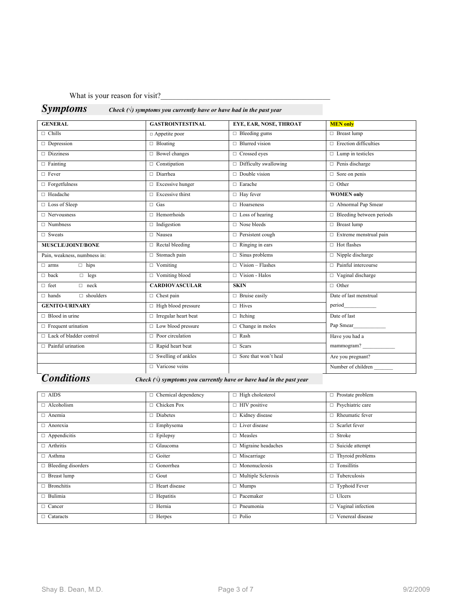What is your reason for visit?\_

## *Symptoms Check (√) symptoms you currently have or have had in the past year*

| <b>GENERAL</b>                   | <b>GASTROINTESTINAL</b>     | EYE, EAR, NOSE, THROAT       | <b>MEN only</b>                 |
|----------------------------------|-----------------------------|------------------------------|---------------------------------|
| $\Box$ Chills                    | $\Box$ Appetite poor        | $\Box$ Bleeding gums         | $\Box$ Breast lump              |
| $\Box$ Depression                | $\Box$ Bloating             | $\Box$ Blurred vision        | $\Box$ Erection difficulties    |
| $\Box$ Dizziness                 | $\Box$ Bowel changes        | $\Box$ Crossed eyes          | $\Box$ Lump in testicles        |
| $\Box$ Fainting                  | $\Box$ Constipation         | $\Box$ Difficulty swallowing | $\Box$ Penis discharge          |
| $\Box$ Fever                     | $\Box$ Diarrhea             | $\Box$ Double vision         | $\Box$ Sore on penis            |
| $\Box$ Forgetfulness             | $\Box$ Excessive hunger     | $\Box$ Earache               | $\Box$ Other                    |
| $\Box$ Headache                  | $\Box$ Excessive thirst     | $\Box$ Hay fever             | <b>WOMEN</b> only               |
| $\Box$ Loss of Sleep             | $\Box$ Gas                  | $\Box$ Hoarseness            | □ Abnormal Pap Smear            |
| $\Box$ Nervousness               | $\Box$ Hemorrhoids          | $\Box$ Loss of hearing       | $\Box$ Bleeding between periods |
| $\Box$ Numbness                  | $\Box$ Indigestion          | $\Box$ Nose bleeds           | $\Box$ Breast lump              |
| $\Box$ Sweats                    | $\Box$ Nausea               | $\Box$ Persistent cough      | $\Box$ Extreme menstrual pain   |
| <b>MUSCLE/JOINT/BONE</b>         | $\Box$ Rectal bleeding      | $\Box$ Ringing in ears       | $\Box$ Hot flashes              |
| Pain, weakness, numbness in:     | $\Box$ Stomach pain         | $\Box$ Sinus problems        | $\Box$ Nipple discharge         |
| $\Box$ hips<br>$\Box$ arms       | $\Box$ Vomiting             | $\Box$ Vision – Flashes      | $\Box$ Painful intercourse      |
| $\Box$ back<br>$\Box$ legs       | $\Box$ Vomiting blood       | $\Box$ Vision - Halos        | $\Box$ Vaginal discharge        |
| $\Box$ feet<br>$\Box$ neck       | <b>CARDIOVASCULAR</b>       | <b>SKIN</b>                  | $\Box$ Other                    |
| $\Box$ shoulders<br>$\Box$ hands | $\Box$ Chest pain           | $\Box$ Bruise easily         | Date of last menstrual          |
| <b>GENITO-URINARY</b>            | $\Box$ High blood pressure  | $\Box$ Hives                 |                                 |
| $\Box$ Blood in urine            | $\Box$ Irregular heart beat | $\Box$ Itching               | Date of last                    |
| $\Box$ Frequent urination        | $\Box$ Low blood pressure   | $\Box$ Change in moles       | Pap Smear                       |
| $\Box$ Lack of bladder control   | $\Box$ Poor circulation     | $\Box$ Rash                  | Have you had a                  |
| $\Box$ Painful urination         | $\Box$ Rapid heart beat     | $\Box$ Scars                 | mammogram?                      |
|                                  | $\Box$ Swelling of ankles   | $\Box$ Sore that won't heal  | Are you pregnant?               |
|                                  | $\Box$ Varicose veins       |                              | Number of children              |

*Conditions Check (√) symptoms you currently have or have had in the past year*

| $\Box$ AIDS               | $\Box$ Chemical dependency | $\Box$ High cholesterol   | $\Box$ Prostate problem  |
|---------------------------|----------------------------|---------------------------|--------------------------|
| $\Box$ Alcoholism         | Chicken Pox<br>п           | $\Box$ HIV positive       | $\Box$ Psychiatric care  |
| $\Box$ Anemia             | $\Box$ Diabetes            | $\Box$ Kidney disease     | $\Box$ Rheumatic fever   |
| $\Box$ Anorexia           | $\Box$ Emphysema           | $\Box$ Liver disease      | $\Box$ Scarlet fever     |
| $\Box$ Appendicitis       | $\Box$ Epilepsy            | $\Box$ Measles            | $\Box$ Stroke            |
| $\Box$ Arthritis          | Glaucoma<br>П.             | $\Box$ Migraine headaches | $\Box$ Suicide attempt   |
| $\Box$ Asthma             | $\Box$ Goiter              | $\Box$ Miscarriage        | $\Box$ Thyroid problems  |
| $\Box$ Bleeding disorders | $\Box$ Gonorrhea           | $\Box$ Mononucleosis      | $\Box$ Tonsillitis       |
| $\Box$ Breast lump        | $\Box$ Gout                | $\Box$ Multiple Sclerosis | $\Box$ Tuberculosis      |
| $\Box$ Bronchitis         | $\Box$ Heart disease       | $\Box$ Mumps              | $\Box$ Typhoid Fever     |
| $\Box$ Bulimia            | $\Box$ Hepatitis           | $\Box$ Pacemaker          | $\Box$ Ulcers            |
| $\Box$ Cancer             | $\Box$ Hernia              | $\Box$ Pneumonia          | $\Box$ Vaginal infection |
| $\Box$ Cataracts          | $\Box$ Herpes              | $\Box$ Polio              | $\Box$ Venereal disease  |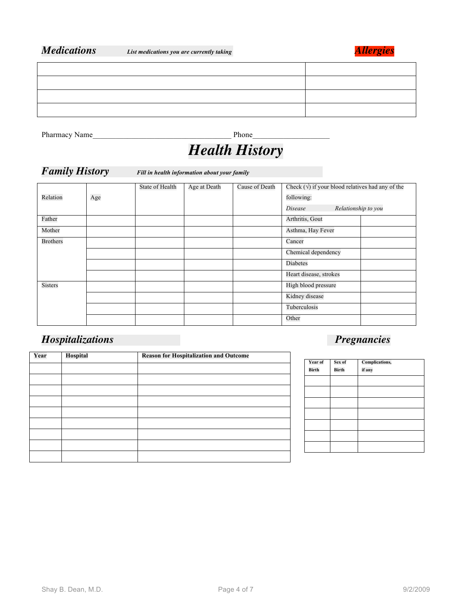

Pharmacy Name\_\_\_\_\_\_\_\_\_\_\_\_\_\_\_\_\_\_\_\_\_\_\_\_\_\_\_\_\_\_\_\_\_\_\_\_ Phone\_\_\_\_\_\_\_\_\_\_\_\_\_\_\_\_\_\_\_\_

# *Health History*

| <b>Family History</b> |     |                 | Fill in health information about your family |                |                                                            |  |
|-----------------------|-----|-----------------|----------------------------------------------|----------------|------------------------------------------------------------|--|
|                       |     | State of Health | Age at Death                                 | Cause of Death | Check $(\sqrt{ } )$ if your blood relatives had any of the |  |
| Relation              | Age |                 |                                              |                | following:                                                 |  |
|                       |     |                 |                                              |                | Relationship to you<br>Disease                             |  |
| Father                |     |                 |                                              |                | Arthritis, Gout                                            |  |
| Mother                |     |                 |                                              |                | Asthma, Hay Fever                                          |  |
| <b>Brothers</b>       |     |                 |                                              |                | Cancer                                                     |  |
|                       |     |                 |                                              |                | Chemical dependency                                        |  |
|                       |     |                 |                                              |                | Diabetes                                                   |  |
|                       |     |                 |                                              |                | Heart disease, strokes                                     |  |
| <b>Sisters</b>        |     |                 |                                              |                | High blood pressure                                        |  |
|                       |     |                 |                                              |                | Kidney disease                                             |  |
|                       |     |                 |                                              |                | Tuberculosis                                               |  |
|                       |     |                 |                                              |                | Other                                                      |  |

## *Hospitalizations Pregnancies*

| Year | Hospital | <b>Reason for Hospitalization and Outcome</b> | Year of      |
|------|----------|-----------------------------------------------|--------------|
|      |          |                                               | <b>Birth</b> |
|      |          |                                               |              |
|      |          |                                               |              |
|      |          |                                               |              |
|      |          |                                               |              |
|      |          |                                               |              |
|      |          |                                               |              |
|      |          |                                               |              |
|      |          |                                               |              |

| Year of      | Sex of | Complications, |
|--------------|--------|----------------|
| <b>Birth</b> | Birth  | if any         |
|              |        |                |
|              |        |                |
|              |        |                |
|              |        |                |
|              |        |                |
|              |        |                |
|              |        |                |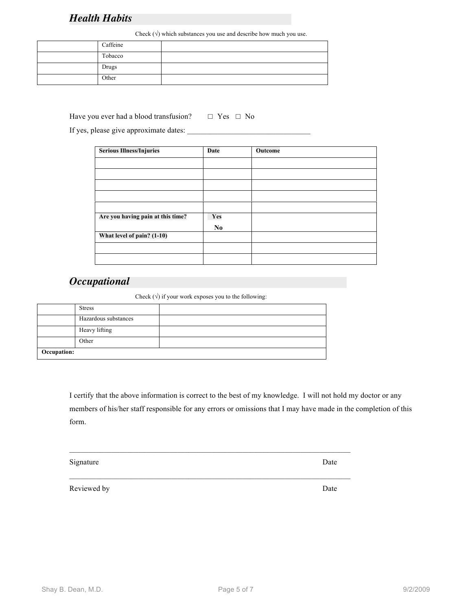## *Health Habits*

Check  $(\sqrt)$  which substances you use and describe how much you use.

| Caffeine |  |
|----------|--|
| Tobacco  |  |
| Drugs    |  |
| Other    |  |

Have you ever had a blood transfusion?  $\Box$  Yes  $\Box$  No

If yes, please give approximate dates:

| <b>Serious Illness/Injuries</b>   | Date           | Outcome |  |
|-----------------------------------|----------------|---------|--|
|                                   |                |         |  |
|                                   |                |         |  |
|                                   |                |         |  |
|                                   |                |         |  |
|                                   |                |         |  |
|                                   |                |         |  |
| Are you having pain at this time? | Yes            |         |  |
|                                   | N <sub>0</sub> |         |  |
| What level of pain? (1-10)        |                |         |  |
|                                   |                |         |  |
|                                   |                |         |  |

## *Occupational*

Check  $(\sqrt{ } )$  if your work exposes you to the following:

|             | <b>Stress</b>        |  |
|-------------|----------------------|--|
|             |                      |  |
|             | Hazardous substances |  |
|             | Heavy lifting        |  |
|             | Other                |  |
| Occupation: |                      |  |

I certify that the above information is correct to the best of my knowledge. I will not hold my doctor or any members of his/her staff responsible for any errors or omissions that I may have made in the completion of this form.

| Signature | )ate |
|-----------|------|

 $\mathcal{L}_\mathcal{L} = \{ \mathcal{L}_\mathcal{L} = \{ \mathcal{L}_\mathcal{L} = \{ \mathcal{L}_\mathcal{L} = \{ \mathcal{L}_\mathcal{L} = \{ \mathcal{L}_\mathcal{L} = \{ \mathcal{L}_\mathcal{L} = \{ \mathcal{L}_\mathcal{L} = \{ \mathcal{L}_\mathcal{L} = \{ \mathcal{L}_\mathcal{L} = \{ \mathcal{L}_\mathcal{L} = \{ \mathcal{L}_\mathcal{L} = \{ \mathcal{L}_\mathcal{L} = \{ \mathcal{L}_\mathcal{L} = \{ \mathcal{L}_\mathcal{$ 

Reviewed by Date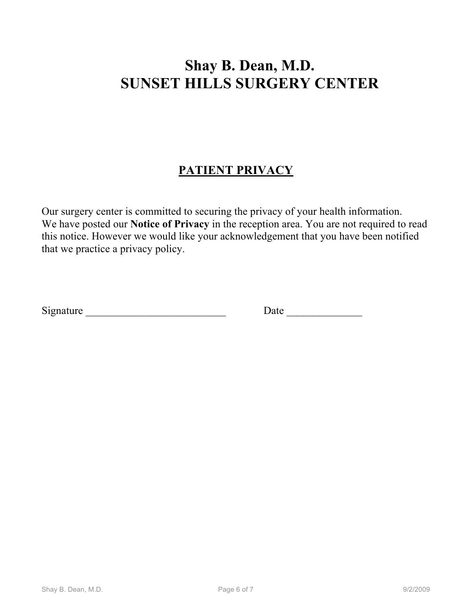# **Shay B. Dean, M.D. SUNSET HILLS SURGERY CENTER**

## **PATIENT PRIVACY**

Our surgery center is committed to securing the privacy of your health information. We have posted our **Notice of Privacy** in the reception area. You are not required to read this notice. However we would like your acknowledgement that you have been notified that we practice a privacy policy.

Signature \_\_\_\_\_\_\_\_\_\_\_\_\_\_\_\_\_\_\_\_\_\_\_\_\_\_ Date \_\_\_\_\_\_\_\_\_\_\_\_\_\_